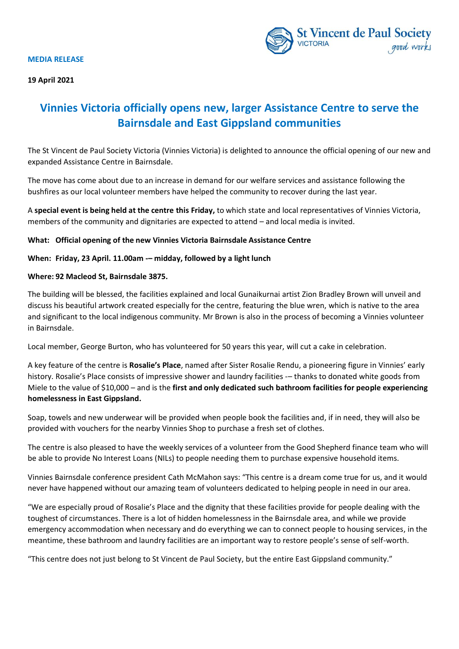



# **Vinnies Victoria officially opens new, larger Assistance Centre to serve the Bairnsdale and East Gippsland communities**

The St Vincent de Paul Society Victoria (Vinnies Victoria) is delighted to announce the official opening of our new and expanded Assistance Centre in Bairnsdale.

The move has come about due to an increase in demand for our welfare services and assistance following the bushfires as our local volunteer members have helped the community to recover during the last year.

A **special event is being held at the centre this Friday,** to which state and local representatives of Vinnies Victoria, members of the community and dignitaries are expected to attend – and local media is invited.

# **What: Official opening of the new Vinnies Victoria Bairnsdale Assistance Centre**

# **When: Friday, 23 April. 11.00am -– midday, followed by a light lunch**

## **Where: 92 Macleod St, Bairnsdale 3875.**

The building will be blessed, the facilities explained and local Gunaikurnai artist Zion Bradley Brown will unveil and discuss his beautiful artwork created especially for the centre, featuring the blue wren, which is native to the area and significant to the local indigenous community. Mr Brown is also in the process of becoming a Vinnies volunteer in Bairnsdale.

Local member, George Burton, who has volunteered for 50 years this year, will cut a cake in celebration.

A key feature of the centre is **Rosalie's Place**, named after Sister Rosalie Rendu, a pioneering figure in Vinnies' early history. Rosalie's Place consists of impressive shower and laundry facilities – thanks to donated white goods from Miele to the value of \$10,000 – and is the **first and only dedicated such bathroom facilities for people experiencing homelessness in East Gippsland.** 

Soap, towels and new underwear will be provided when people book the facilities and, if in need, they will also be provided with vouchers for the nearby Vinnies Shop to purchase a fresh set of clothes.

The centre is also pleased to have the weekly services of a volunteer from the Good Shepherd finance team who will be able to provide No Interest Loans (NILs) to people needing them to purchase expensive household items.

Vinnies Bairnsdale conference president Cath McMahon says: "This centre is a dream come true for us, and it would never have happened without our amazing team of volunteers dedicated to helping people in need in our area.

"We are especially proud of Rosalie's Place and the dignity that these facilities provide for people dealing with the toughest of circumstances. There is a lot of hidden homelessness in the Bairnsdale area, and while we provide emergency accommodation when necessary and do everything we can to connect people to housing services, in the meantime, these bathroom and laundry facilities are an important way to restore people's sense of self-worth.

"This centre does not just belong to St Vincent de Paul Society, but the entire East Gippsland community."